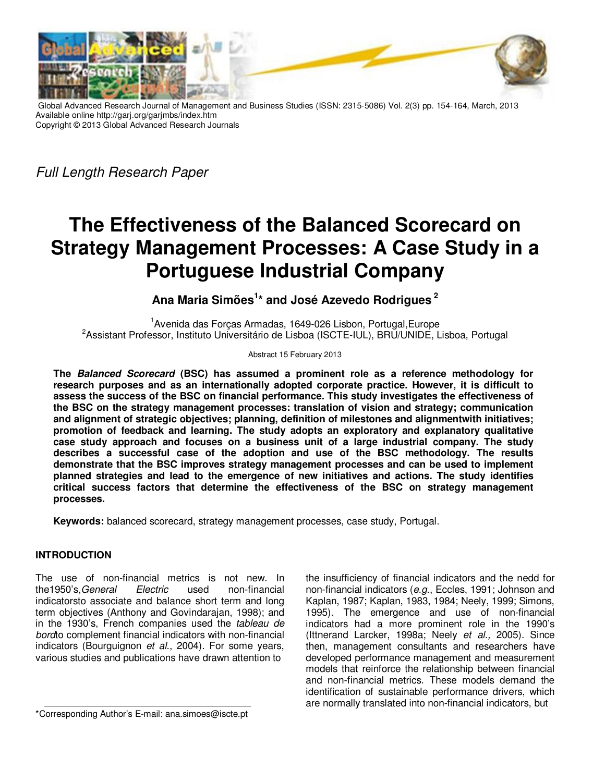

Global Advanced Research Journal of Management and Business Studies (ISSN: 2315-5086) Vol. 2(3) pp. 154-164, March, 2013 Available online http://garj.org/garjmbs/index.htm Copyright © 2013 Global Advanced Research Journals

*Full Length Research Paper*

# **The Effectiveness of the Balanced Scorecard on Strategy Management Processes: A Case Study in a Portuguese Industrial Company**

## **Ana Maria Simões<sup>1</sup> \* and José Azevedo Rodrigues<sup>2</sup>**

<sup>1</sup>Avenida das Forças Armadas, 1649-026 Lisbon, Portugal,Europe <sup>2</sup>Assistant Professor, Instituto Universitário de Lisboa (ISCTE-IUL), BRU/UNIDE, Lisboa, Portugal

#### Abstract 15 February 2013

**The Balanced Scorecard (BSC) has assumed a prominent role as a reference methodology for research purposes and as an internationally adopted corporate practice. However, it is difficult to assess the success of the BSC on financial performance. This study investigates the effectiveness of the BSC on the strategy management processes: translation of vision and strategy; communication and alignment of strategic objectives; planning, definition of milestones and alignmentwith initiatives; promotion of feedback and learning. The study adopts an exploratory and explanatory qualitative case study approach and focuses on a business unit of a large industrial company. The study describes a successful case of the adoption and use of the BSC methodology. The results demonstrate that the BSC improves strategy management processes and can be used to implement planned strategies and lead to the emergence of new initiatives and actions. The study identifies critical success factors that determine the effectiveness of the BSC on strategy management processes.** 

**Keywords:** balanced scorecard, strategy management processes, case study, Portugal.

#### **INTRODUCTION**

The use of non-financial metrics is not new. In the1950's,*General Electric* used non-financial indicatorsto associate and balance short term and long term objectives (Anthony and Govindarajan, 1998); and in the 1930's, French companies used the *tableau de bord*to complement financial indicators with non-financial indicators (Bourguignon *et al*., 2004). For some years, various studies and publications have drawn attention to

the insufficiency of financial indicators and the nedd for non-financial indicators (*e.g*., Eccles, 1991; Johnson and Kaplan, 1987; Kaplan, 1983, 1984; Neely, 1999; Simons, 1995). The emergence and use of non-financial indicators had a more prominent role in the 1990's (Ittnerand Larcker, 1998a; Neely *et al.,* 2005). Since then, management consultants and researchers have developed performance management and measurement models that reinforce the relationship between financial and non-financial metrics. These models demand the identification of sustainable performance drivers, which are normally translated into non-financial indicators, but

<sup>\*</sup>Corresponding Author's E-mail: ana.simoes@iscte.pt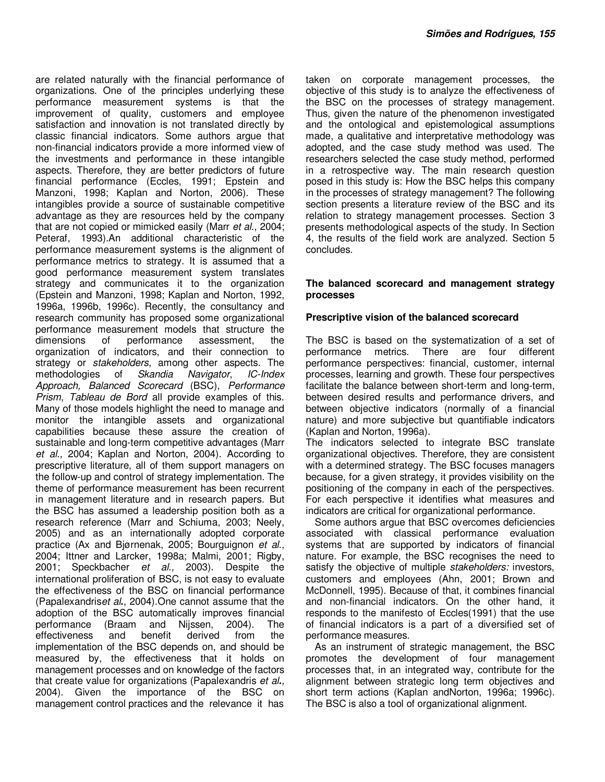are related naturally with the financial performance of organizations. One of the principles underlying these performance measurement systems is that the improvement of quality, customers and employee satisfaction and innovation is not translated directly by classic financial indicators. Some authors argue that non-financial indicators provide a more informed view of the investments and performance in these intangible aspects. Therefore, they are better predictors of future financial performance (Eccles, 1991; Epstein and Manzoni, 1998; Kaplan and Norton, 2006). These intangibles provide a source of sustainable competitive advantage as they are resources held by the company that are not copied or mimicked easily (Marr *et al*., 2004; Peteraf, 1993).An additional characteristic of the performance measurement systems is the alignment of performance metrics to strategy. It is assumed that a good performance measurement system translates strategy and communicates it to the organization (Epstein and Manzoni, 1998; Kaplan and Norton, 1992, 1996a, 1996b, 1996c). Recently, the consultancy and research community has proposed some organizational performance measurement models that structure the dimensions of performance assessment, the organization of indicators, and their connection to strategy or *stakeholders*, among other aspects. The methodologies of *Skandia Navigator*, *IC-Index Approach, Balanced Scorecard* (BSC), *Performance Prism*, *Tableau de Bord* all provide examples of this. Many of those models highlight the need to manage and monitor the intangible assets and organizational capabilities because these assure the creation of sustainable and long-term competitive advantages (Marr *et al.,* 2004; Kaplan and Norton, 2004). According to prescriptive literature, all of them support managers on the follow-up and control of strategy implementation. The theme of performance measurement has been recurrent in management literature and in research papers. But the BSC has assumed a leadership position both as a research reference (Marr and Schiuma, 2003; Neely, 2005) and as an internationally adopted corporate practice (Ax and Bjørnenak, 2005; Bourguignon *et al*., 2004; Ittner and Larcker, 1998a; Malmi, 2001; Rigby, 2001; Speckbacher *et al.,* 2003). Despite the international proliferation of BSC, is not easy to evaluate the effectiveness of the BSC on financial performance (Papalexandris*et al***.**, 2004).One cannot assume that the adoption of the BSC automatically improves financial performance (Braam and Nijssen, 2004). The effectiveness and benefit derived from the implementation of the BSC depends on, and should be measured by, the effectiveness that it holds on management processes and on knowledge of the factors that create value for organizations (Papalexandris *et al***.***,* 2004). Given the importance of the BSC on management control practices and the relevance it has

taken on corporate management processes, the objective of this study is to analyze the effectiveness of the BSC on the processes of strategy management. Thus, given the nature of the phenomenon investigated and the ontological and epistemological assumptions made, a qualitative and interpretative methodology was adopted, and the case study method was used. The researchers selected the case study method, performed in a retrospective way. The main research question posed in this study is: How the BSC helps this company in the processes of strategy management? The following section presents a literature review of the BSC and its relation to strategy management processes. Section 3 presents methodological aspects of the study. In Section 4, the results of the field work are analyzed. Section 5 concludes.

#### **The balanced scorecard and management strategy processes**

#### **Prescriptive vision of the balanced scorecard**

The BSC is based on the systematization of a set of performance metrics. There are four different performance perspectives: financial, customer, internal processes, learning and growth. These four perspectives facilitate the balance between short-term and long-term, between desired results and performance drivers, and between objective indicators (normally of a financial nature) and more subjective but quantifiable indicators (Kaplan and Norton, 1996a).

The indicators selected to integrate BSC translate organizational objectives. Therefore, they are consistent with a determined strategy. The BSC focuses managers because, for a given strategy, it provides visibility on the positioning of the company in each of the perspectives. For each perspective it identifies what measures and indicators are critical for organizational performance.

Some authors argue that BSC overcomes deficiencies associated with classical performance evaluation systems that are supported by indicators of financial nature. For example, the BSC recognises the need to satisfy the objective of multiple *stakeholders:* investors, customers and employees (Ahn, 2001; Brown and McDonnell, 1995). Because of that, it combines financial and non-financial indicators. On the other hand, it responds to the manifesto of Eccles(1991) that the use of financial indicators is a part of a diversified set of performance measures.

As an instrument of strategic management, the BSC promotes the development of four management processes that, in an integrated way, contribute for the alignment between strategic long term objectives and short term actions (Kaplan andNorton, 1996a; 1996c). The BSC is also a tool of organizational alignment.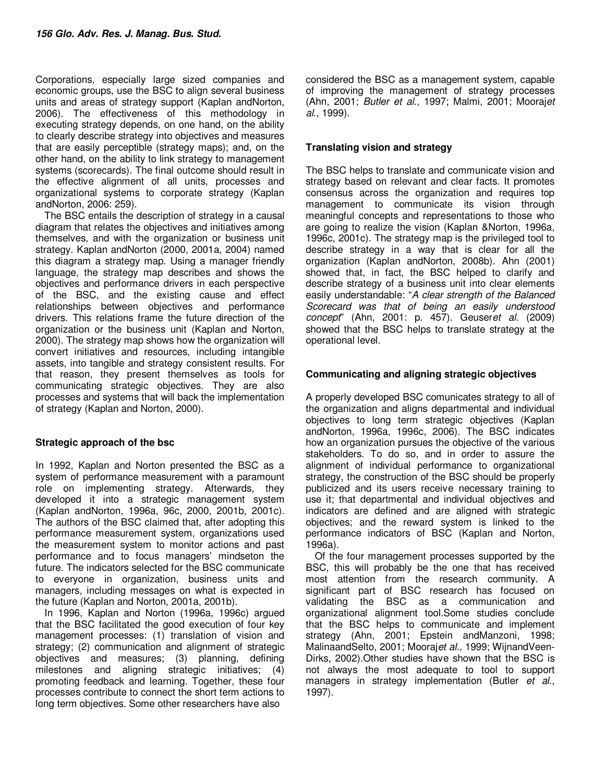Corporations, especially large sized companies and economic groups, use the BSC to align several business units and areas of strategy support (Kaplan andNorton, 2006). The effectiveness of this methodology in executing strategy depends, on one hand, on the ability to clearly describe strategy into objectives and measures that are easily perceptible (strategy maps); and, on the other hand, on the ability to link strategy to management systems (scorecards). The final outcome should result in the effective alignment of all units, processes and organizational systems to corporate strategy (Kaplan andNorton, 2006: 259).

The BSC entails the description of strategy in a causal diagram that relates the objectives and initiatives among themselves, and with the organization or business unit strategy. Kaplan andNorton (2000, 2001a, 2004) named this diagram a strategy map. Using a manager friendly language, the strategy map describes and shows the objectives and performance drivers in each perspective of the BSC, and the existing cause and effect relationships between objectives and performance drivers. This relations frame the future direction of the organization or the business unit (Kaplan and Norton, 2000). The strategy map shows how the organization will convert initiatives and resources, including intangible assets, into tangible and strategy consistent results. For that reason, they present themselves as tools for communicating strategic objectives. They are also processes and systems that will back the implementation of strategy (Kaplan and Norton, 2000).

#### **Strategic approach of the bsc**

In 1992, Kaplan and Norton presented the BSC as a system of performance measurement with a paramount role on implementing strategy. Afterwards, they developed it into a strategic management system (Kaplan andNorton, 1996a, 96c, 2000, 2001b, 2001c). The authors of the BSC claimed that, after adopting this performance measurement system, organizations used the measurement system to monitor actions and past performance and to focus managers' mindseton the future. The indicators selected for the BSC communicate to everyone in organization, business units and managers, including messages on what is expected in the future (Kaplan and Norton, 2001a, 2001b).

In 1996, Kaplan and Norton (1996a, 1996c) argued that the BSC facilitated the good execution of four key management processes: (1) translation of vision and strategy; (2) communication and alignment of strategic objectives and measures; (3) planning, defining milestones and aligning strategic initiatives; (4) promoting feedback and learning. Together, these four processes contribute to connect the short term actions to long term objectives. Some other researchers have also

considered the BSC as a management system, capable of improving the management of strategy processes (Ahn, 2001; *Butler et al.,* 1997; Malmi, 2001; Mooraj*et al*., 1999).

#### **Translating vision and strategy**

The BSC helps to translate and communicate vision and strategy based on relevant and clear facts. It promotes consensus across the organization and requires top management to communicate its vision through meaningful concepts and representations to those who are going to realize the vision (Kaplan &Norton, 1996a, 1996c, 2001c). The strategy map is the privileged tool to describe strategy in a way that is clear for all the organization (Kaplan andNorton, 2008b). Ahn (2001) showed that, in fact, the BSC helped to clarify and describe strategy of a business unit into clear elements easily understandable: "*A clear strength of the Balanced Scorecard was that of being an easily understood concept*" (Ahn, 2001: p. 457). Geuser*et al.* (2009) showed that the BSC helps to translate strategy at the operational level.

#### **Communicating and aligning strategic objectives**

A properly developed BSC comunicates strategy to all of the organization and aligns departmental and individual objectives to long term strategic objectives (Kaplan andNorton, 1996a, 1996c, 2006). The BSC indicates how an organization pursues the objective of the various stakeholders. To do so, and in order to assure the alignment of individual performance to organizational strategy, the construction of the BSC should be properly publicized and its users receive necessary training to use it; that departmental and individual objectives and indicators are defined and are aligned with strategic objectives; and the reward system is linked to the performance indicators of BSC (Kaplan and Norton, 1996a).

Of the four management processes supported by the BSC, this will probably be the one that has received most attention from the research community. A significant part of BSC research has focused on validating the BSC as a communication and organizational alignment tool.Some studies conclude that the BSC helps to communicate and implement strategy (Ahn, 2001; Epstein andManzoni, 1998; MalinaandSelto, 2001; Mooraj*et al.,* 1999; WijnandVeen-Dirks, 2002).Other studies have shown that the BSC is not always the most adequate to tool to support managers in strategy implementation (Butler *et al*., 1997).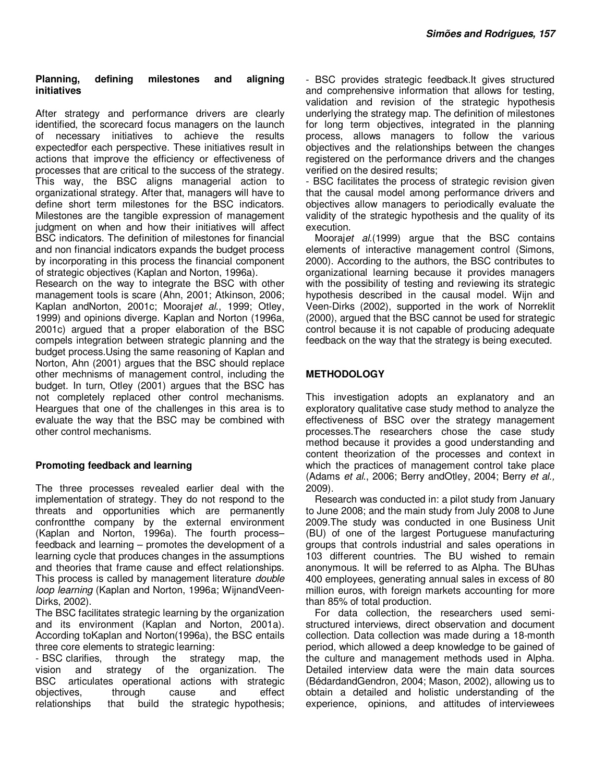#### **Planning, defining milestones and aligning initiatives**

After strategy and performance drivers are clearly identified, the scorecard focus managers on the launch of necessary initiatives to achieve the results expectedfor each perspective. These initiatives result in actions that improve the efficiency or effectiveness of processes that are critical to the success of the strategy. This way, the BSC aligns managerial action to organizational strategy. After that, managers will have to define short term milestones for the BSC indicators. Milestones are the tangible expression of management judgment on when and how their initiatives will affect BSC indicators. The definition of milestones for financial and non financial indicators expands the budget process by incorporating in this process the financial component of strategic objectives (Kaplan and Norton, 1996a).

Research on the way to integrate the BSC with other management tools is scare (Ahn, 2001; Atkinson, 2006; Kaplan andNorton, 2001c; Mooraj*et al*., 1999; Otley, 1999) and opinions diverge. Kaplan and Norton (1996a, 2001c) argued that a proper elaboration of the BSC compels integration between strategic planning and the budget process.Using the same reasoning of Kaplan and Norton, Ahn (2001) argues that the BSC should replace other mechnisms of management control, including the budget. In turn, Otley (2001) argues that the BSC has not completely replaced other control mechanisms. Heargues that one of the challenges in this area is to evaluate the way that the BSC may be combined with other control mechanisms.

#### **Promoting feedback and learning**

The three processes revealed earlier deal with the implementation of strategy. They do not respond to the threats and opportunities which are permanently confrontthe company by the external environment (Kaplan and Norton, 1996a). The fourth process– feedback and learning – promotes the development of a learning cycle that produces changes in the assumptions and theories that frame cause and effect relationships. This process is called by management literature *double loop learning* (Kaplan and Norton, 1996a; WijnandVeen-Dirks, 2002).

The BSC facilitates strategic learning by the organization and its environment (Kaplan and Norton, 2001a). According toKaplan and Norton(1996a), the BSC entails three core elements to strategic learning:

- BSC clarifies, through the strategy map, the vision and strategy of the organization. The BSC articulates operational actions with strategic objectives, through cause and effect relationships that build the strategic hypothesis; - BSC provides strategic feedback.It gives structured and comprehensive information that allows for testing, validation and revision of the strategic hypothesis underlying the strategy map. The definition of milestones for long term objectives, integrated in the planning process, allows managers to follow the various objectives and the relationships between the changes registered on the performance drivers and the changes verified on the desired results;

- BSC facilitates the process of strategic revision given that the causal model among performance drivers and objectives allow managers to periodically evaluate the validity of the strategic hypothesis and the quality of its execution.

Mooraj*et al.*(1999) argue that the BSC contains elements of interactive management control (Simons, 2000). According to the authors, the BSC contributes to organizational learning because it provides managers with the possibility of testing and reviewing its strategic hypothesis described in the causal model. Wijn and Veen-Dirks (2002), supported in the work of Norreklit (2000), argued that the BSC cannot be used for strategic control because it is not capable of producing adequate feedback on the way that the strategy is being executed.

## **METHODOLOGY**

This investigation adopts an explanatory and an exploratory qualitative case study method to analyze the effectiveness of BSC over the strategy management processes.The researchers chose the case study method because it provides a good understanding and content theorization of the processes and context in which the practices of management control take place (Adams *et al*., 2006; Berry andOtley, 2004; Berry *et al.,* 2009).

Research was conducted in: a pilot study from January to June 2008; and the main study from July 2008 to June 2009.The study was conducted in one Business Unit (BU) of one of the largest Portuguese manufacturing groups that controls industrial and sales operations in 103 different countries. The BU wished to remain anonymous. It will be referred to as Alpha. The BUhas 400 employees, generating annual sales in excess of 80 million euros, with foreign markets accounting for more than 85% of total production.

For data collection, the researchers used semistructured interviews, direct observation and document collection. Data collection was made during a 18-month period, which allowed a deep knowledge to be gained of the culture and management methods used in Alpha. Detailed interview data were the main data sources (BédardandGendron, 2004; Mason, 2002), allowing us to obtain a detailed and holistic understanding of the experience, opinions, and attitudes of interviewees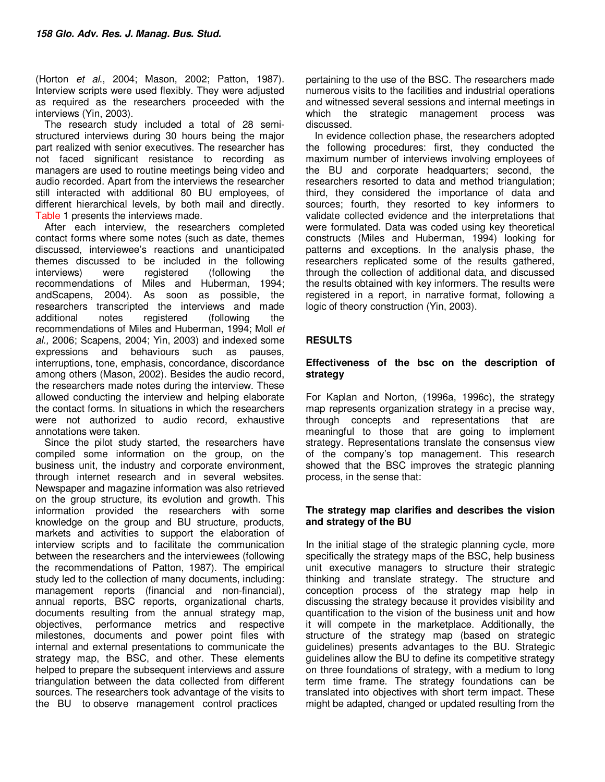(Horton *et al*., 2004; Mason, 2002; Patton, 1987). Interview scripts were used flexibly. They were adjusted as required as the researchers proceeded with the interviews (Yin, 2003).

The research study included a total of 28 semistructured interviews during 30 hours being the major part realized with senior executives. The researcher has not faced significant resistance to recording as managers are used to routine meetings being video and audio recorded. Apart from the interviews the researcher still interacted with additional 80 BU employees, of different hierarchical levels, by both mail and directly. Table 1 presents the interviews made.

After each interview, the researchers completed contact forms where some notes (such as date, themes discussed, interviewee's reactions and unanticipated themes discussed to be included in the following interviews) were registered (following the recommendations of Miles and Huberman, 1994; andScapens, 2004). As soon as possible, the researchers transcripted the interviews and made additional notes registered (following the recommendations of Miles and Huberman, 1994; Moll *et al.,* 2006; Scapens, 2004; Yin, 2003) and indexed some expressions and behaviours such as pauses, interruptions, tone, emphasis, concordance, discordance among others (Mason, 2002). Besides the audio record, the researchers made notes during the interview. These allowed conducting the interview and helping elaborate the contact forms. In situations in which the researchers were not authorized to audio record, exhaustive annotations were taken.

Since the pilot study started, the researchers have compiled some information on the group, on the business unit, the industry and corporate environment, through internet research and in several websites. Newspaper and magazine information was also retrieved on the group structure, its evolution and growth. This information provided the researchers with some knowledge on the group and BU structure, products, markets and activities to support the elaboration of interview scripts and to facilitate the communication between the researchers and the interviewees (following the recommendations of Patton, 1987). The empirical study led to the collection of many documents, including: management reports (financial and non-financial), annual reports, BSC reports, organizational charts, documents resulting from the annual strategy map, objectives, performance metrics and respective milestones, documents and power point files with internal and external presentations to communicate the strategy map, the BSC, and other. These elements helped to prepare the subsequent interviews and assure triangulation between the data collected from different sources. The researchers took advantage of the visits to the BU to observe management control practices

pertaining to the use of the BSC. The researchers made numerous visits to the facilities and industrial operations and witnessed several sessions and internal meetings in which the strategic management process was discussed.

In evidence collection phase, the researchers adopted the following procedures: first, they conducted the maximum number of interviews involving employees of the BU and corporate headquarters; second, the researchers resorted to data and method triangulation; third, they considered the importance of data and sources; fourth, they resorted to key informers to validate collected evidence and the interpretations that were formulated. Data was coded using key theoretical constructs (Miles and Huberman, 1994) looking for patterns and exceptions. In the analysis phase, the researchers replicated some of the results gathered, through the collection of additional data, and discussed the results obtained with key informers. The results were registered in a report, in narrative format, following a logic of theory construction (Yin, 2003).

## **RESULTS**

#### **Effectiveness of the bsc on the description of strategy**

For Kaplan and Norton, (1996a, 1996c), the strategy map represents organization strategy in a precise way, through concepts and representations that are meaningful to those that are going to implement strategy. Representations translate the consensus view of the company's top management. This research showed that the BSC improves the strategic planning process, in the sense that:

#### **The strategy map clarifies and describes the vision and strategy of the BU**

In the initial stage of the strategic planning cycle, more specifically the strategy maps of the BSC, help business unit executive managers to structure their strategic thinking and translate strategy. The structure and conception process of the strategy map help in discussing the strategy because it provides visibility and quantification to the vision of the business unit and how it will compete in the marketplace. Additionally, the structure of the strategy map (based on strategic guidelines) presents advantages to the BU. Strategic guidelines allow the BU to define its competitive strategy on three foundations of strategy, with a medium to long term time frame. The strategy foundations can be translated into objectives with short term impact. These might be adapted, changed or updated resulting from the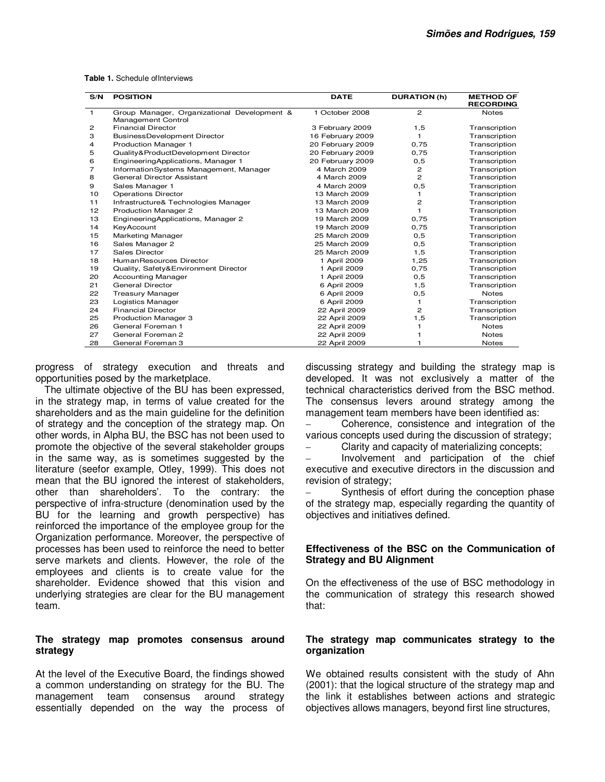|  |  |  |  | <b>Table 1.</b> Schedule of Interviews |
|--|--|--|--|----------------------------------------|
|--|--|--|--|----------------------------------------|

| S/N          | <b>POSITION</b>                                                          | <b>DATE</b>      | <b>DURATION (h)</b> | <b>METHOD OF</b><br><b>RECORDING</b> |
|--------------|--------------------------------------------------------------------------|------------------|---------------------|--------------------------------------|
| $\mathbf{1}$ | Group Manager, Organizational Development &<br><b>Management Control</b> | 1 October 2008   | $\overline{c}$      | <b>Notes</b>                         |
| 2            | <b>Financial Director</b>                                                | 3 February 2009  | 1,5                 | Transcription                        |
| З            | BusinessDevelopment Director                                             | 16 February 2009 | 1                   | Transcription                        |
| 4            | Production Manager 1                                                     | 20 February 2009 | 0,75                | Transcription                        |
| 5            | Quality&ProductDevelopment Director                                      | 20 February 2009 | 0,75                | Transcription                        |
| 6            | EngineeringApplications, Manager 1                                       | 20 February 2009 | 0, 5                | Transcription                        |
| 7            | InformationSystems Management, Manager                                   | 4 March 2009     | $\overline{c}$      | Transcription                        |
| 8            | General Director Assistant                                               | 4 March 2009     | $\overline{c}$      | Transcription                        |
| 9            | Sales Manager 1                                                          | 4 March 2009     | 0,5                 | Transcription                        |
| 10           | <b>Operations Director</b>                                               | 13 March 2009    | 1                   | Transcription                        |
| 11           | Infrastructure& Technologies Manager                                     | 13 March 2009    | 2                   | Transcription                        |
| 12           | Production Manager 2                                                     | 13 March 2009    | 1                   | Transcription                        |
| 13           | EngineeringApplications, Manager 2                                       | 19 March 2009    | 0,75                | Transcription                        |
| 14           | KeyAccount                                                               | 19 March 2009    | 0,75                | Transcription                        |
| 15           | Marketing Manager                                                        | 25 March 2009    | 0,5                 | Transcription                        |
| 16           | Sales Manager 2                                                          | 25 March 2009    | 0,5                 | Transcription                        |
| 17           | Sales Director                                                           | 25 March 2009    | 1,5                 | Transcription                        |
| 18           | HumanResources Director                                                  | 1 April 2009     | 1,25                | Transcription                        |
| 19           | Quality, Safety&Environment Director                                     | 1 April 2009     | 0,75                | Transcription                        |
| 20           | <b>Accounting Manager</b>                                                | 1 April 2009     | 0,5                 | Transcription                        |
| 21           | General Director                                                         | 6 April 2009     | 1,5                 | Transcription                        |
| 22           | <b>Treasury Manager</b>                                                  | 6 April 2009     | 0,5                 | <b>Notes</b>                         |
| 23           | Logistics Manager                                                        | 6 April 2009     | 1.                  | Transcription                        |
| 24           | <b>Financial Director</b>                                                | 22 April 2009    | 2                   | Transcription                        |
| 25           | <b>Production Manager 3</b>                                              | 22 April 2009    | 1,5                 | Transcription                        |
| 26           | General Foreman 1                                                        | 22 April 2009    |                     | <b>Notes</b>                         |
| 27           | General Foreman 2                                                        | 22 April 2009    |                     | <b>Notes</b>                         |
| 28           | General Foreman 3                                                        | 22 April 2009    |                     | <b>Notes</b>                         |

progress of strategy execution and threats and opportunities posed by the marketplace.

The ultimate objective of the BU has been expressed, in the strategy map, in terms of value created for the shareholders and as the main guideline for the definition of strategy and the conception of the strategy map. On other words, in Alpha BU, the BSC has not been used to promote the objective of the several stakeholder groups in the same way, as is sometimes suggested by the literature (seefor example, Otley, 1999). This does not mean that the BU ignored the interest of stakeholders, other than shareholders'. To the contrary: the perspective of infra-structure (denomination used by the BU for the learning and growth perspective) has reinforced the importance of the employee group for the Organization performance. Moreover, the perspective of processes has been used to reinforce the need to better serve markets and clients. However, the role of the employees and clients is to create value for the shareholder. Evidence showed that this vision and underlying strategies are clear for the BU management team.

#### **The strategy map promotes consensus around strategy**

At the level of the Executive Board, the findings showed a common understanding on strategy for the BU. The management team consensus around strategy essentially depended on the way the process of

discussing strategy and building the strategy map is developed. It was not exclusively a matter of the technical characteristics derived from the BSC method. The consensus levers around strategy among the management team members have been identified as:

– Coherence, consistence and integration of the various concepts used during the discussion of strategy;

– Clarity and capacity of materializing concepts;

– Involvement and participation of the chief executive and executive directors in the discussion and revision of strategy;

– Synthesis of effort during the conception phase of the strategy map, especially regarding the quantity of objectives and initiatives defined.

#### **Effectiveness of the BSC on the Communication of Strategy and BU Alignment**

On the effectiveness of the use of BSC methodology in the communication of strategy this research showed that:

#### **The strategy map communicates strategy to the organization**

We obtained results consistent with the study of Ahn (2001): that the logical structure of the strategy map and the link it establishes between actions and strategic objectives allows managers, beyond first line structures,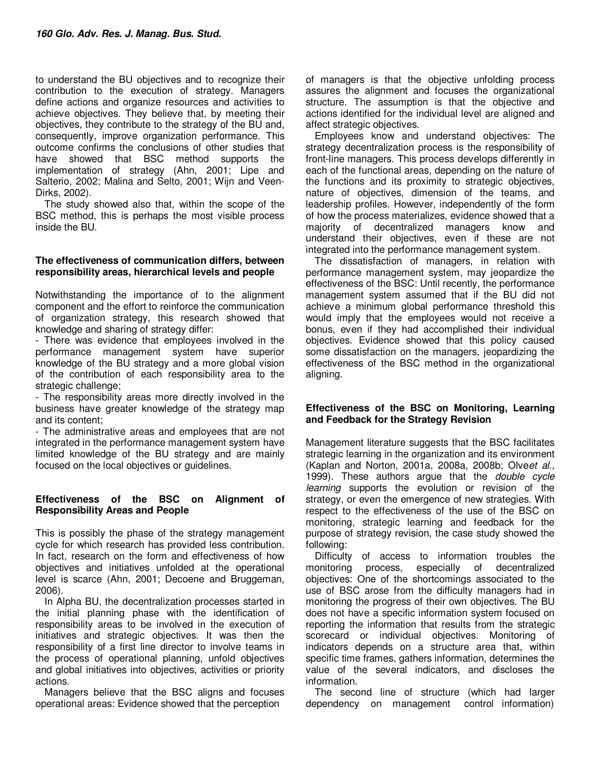to understand the BU objectives and to recognize their contribution to the execution of strategy. Managers define actions and organize resources and activities to achieve objectives. They believe that, by meeting their objectives, they contribute to the strategy of the BU and, consequently, improve organization performance. This outcome confirms the conclusions of other studies that have showed that BSC method supports the implementation of strategy (Ahn, 2001; Lipe and Salterio, 2002; Malina and Selto, 2001; Wijn and Veen-Dirks, 2002).

The study showed also that, within the scope of the BSC method, this is perhaps the most visible process inside the BU.

#### **The effectiveness of communication differs, between responsibility areas, hierarchical levels and people**

Notwithstanding the importance of to the alignment component and the effort to reinforce the communication of organization strategy, this research showed that knowledge and sharing of strategy differ:

- There was evidence that employees involved in the performance management system have superior knowledge of the BU strategy and a more global vision of the contribution of each responsibility area to the strategic challenge;

- The responsibility areas more directly involved in the business have greater knowledge of the strategy map and its content;

- The administrative areas and employees that are not integrated in the performance management system have limited knowledge of the BU strategy and are mainly focused on the local objectives or guidelines.

#### **Effectiveness of the BSC on Alignment of Responsibility Areas and People**

This is possibly the phase of the strategy management cycle for which research has provided less contribution. In fact, research on the form and effectiveness of how objectives and initiatives unfolded at the operational level is scarce (Ahn, 2001; Decoene and Bruggeman, 2006).

In Alpha BU, the decentralization processes started in the initial planning phase with the identification of responsibility areas to be involved in the execution of initiatives and strategic objectives. It was then the responsibility of a first line director to involve teams in the process of operational planning, unfold objectives and global initiatives into objectives, activities or priority actions.

Managers believe that the BSC aligns and focuses operational areas: Evidence showed that the perception

of managers is that the objective unfolding process assures the alignment and focuses the organizational structure. The assumption is that the objective and actions identified for the individual level are aligned and affect strategic objectives.

Employees know and understand objectives: The strategy decentralization process is the responsibility of front-line managers. This process develops differently in each of the functional areas, depending on the nature of the functions and its proximity to strategic objectives, nature of objectives, dimension of the teams, and leadership profiles. However, independently of the form of how the process materializes, evidence showed that a majority of decentralized managers know and understand their objectives, even if these are not integrated into the performance management system.

The dissatisfaction of managers, in relation with performance management system, may jeopardize the effectiveness of the BSC: Until recently, the performance management system assumed that if the BU did not achieve a minimum global performance threshold this would imply that the employees would not receive a bonus, even if they had accomplished their individual objectives. Evidence showed that this policy caused some dissatisfaction on the managers, jeopardizing the effectiveness of the BSC method in the organizational aligning.

#### **Effectiveness of the BSC on Monitoring, Learning and Feedback for the Strategy Revision**

Management literature suggests that the BSC facilitates strategic learning in the organization and its environment (Kaplan and Norton, 2001a, 2008a, 2008b; Olve*et al*., 1999). These authors argue that the *double cycle learning* supports the evolution or revision of the strategy, or even the emergence of new strategies. With respect to the effectiveness of the use of the BSC on monitoring, strategic learning and feedback for the purpose of strategy revision, the case study showed the following:

Difficulty of access to information troubles the monitoring process, especially of decentralized objectives: One of the shortcomings associated to the use of BSC arose from the difficulty managers had in monitoring the progress of their own objectives. The BU does not have a specific information system focused on reporting the information that results from the strategic scorecard or individual objectives. Monitoring of indicators depends on a structure area that, within specific time frames, gathers information, determines the value of the several indicators, and discloses the information.

The second line of structure (which had larger dependency on management control information)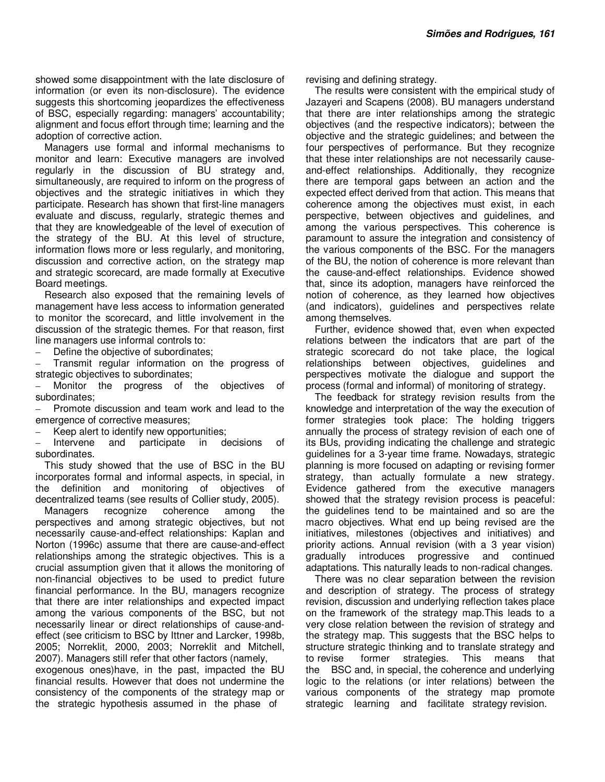showed some disappointment with the late disclosure of information (or even its non-disclosure). The evidence suggests this shortcoming jeopardizes the effectiveness of BSC, especially regarding: managers' accountability; alignment and focus effort through time; learning and the adoption of corrective action.

Managers use formal and informal mechanisms to monitor and learn: Executive managers are involved regularly in the discussion of BU strategy and, simultaneously, are required to inform on the progress of objectives and the strategic initiatives in which they participate. Research has shown that first-line managers evaluate and discuss, regularly, strategic themes and that they are knowledgeable of the level of execution of the strategy of the BU. At this level of structure, information flows more or less regularly, and monitoring, discussion and corrective action, on the strategy map and strategic scorecard, are made formally at Executive Board meetings.

Research also exposed that the remaining levels of management have less access to information generated to monitor the scorecard, and little involvement in the discussion of the strategic themes. For that reason, first line managers use informal controls to:

Define the objective of subordinates;

– Transmit regular information on the progress of strategic objectives to subordinates;

Monitor the progress of the objectives of subordinates;

– Promote discussion and team work and lead to the emergence of corrective measures;

Keep alert to identify new opportunities;

Intervene and participate in decisions of subordinates.

This study showed that the use of BSC in the BU incorporates formal and informal aspects, in special, in the definition and monitoring of objectives of decentralized teams (see results of Collier study, 2005).

Managers recognize coherence among the perspectives and among strategic objectives, but not necessarily cause-and-effect relationships: Kaplan and Norton (1996c) assume that there are cause-and-effect relationships among the strategic objectives. This is a crucial assumption given that it allows the monitoring of non-financial objectives to be used to predict future financial performance. In the BU, managers recognize that there are inter relationships and expected impact among the various components of the BSC, but not necessarily linear or direct relationships of cause-andeffect (see criticism to BSC by Ittner and Larcker, 1998b, 2005; Norreklit, 2000, 2003; Norreklit and Mitchell, 2007). Managers still refer that other factors (namely,

exogenous ones)have, in the past, impacted the BU financial results. However that does not undermine the consistency of the components of the strategy map or the strategic hypothesis assumed in the phase of

revising and defining strategy.

The results were consistent with the empirical study of Jazayeri and Scapens (2008). BU managers understand that there are inter relationships among the strategic objectives (and the respective indicators); between the objective and the strategic guidelines; and between the four perspectives of performance. But they recognize that these inter relationships are not necessarily causeand-effect relationships. Additionally, they recognize there are temporal gaps between an action and the expected effect derived from that action. This means that coherence among the objectives must exist, in each perspective, between objectives and guidelines, and among the various perspectives. This coherence is paramount to assure the integration and consistency of the various components of the BSC. For the managers of the BU, the notion of coherence is more relevant than the cause-and-effect relationships. Evidence showed that, since its adoption, managers have reinforced the notion of coherence, as they learned how objectives (and indicators), guidelines and perspectives relate among themselves.

Further, evidence showed that, even when expected relations between the indicators that are part of the strategic scorecard do not take place, the logical relationships between objectives, guidelines and perspectives motivate the dialogue and support the process (formal and informal) of monitoring of strategy.

The feedback for strategy revision results from the knowledge and interpretation of the way the execution of former strategies took place: The holding triggers annually the process of strategy revision of each one of its BUs, providing indicating the challenge and strategic guidelines for a 3-year time frame. Nowadays, strategic planning is more focused on adapting or revising former strategy, than actually formulate a new strategy. Evidence gathered from the executive managers showed that the strategy revision process is peaceful: the guidelines tend to be maintained and so are the macro objectives. What end up being revised are the initiatives, milestones (objectives and initiatives) and priority actions. Annual revision (with a 3 year vision) gradually introduces progressive and continued adaptations. This naturally leads to non-radical changes.

There was no clear separation between the revision and description of strategy. The process of strategy revision, discussion and underlying reflection takes place on the framework of the strategy map.This leads to a very close relation between the revision of strategy and the strategy map. This suggests that the BSC helps to structure strategic thinking and to translate strategy and to revise former strategies. This means that the BSC and, in special, the coherence and underlying logic to the relations (or inter relations) between the various components of the strategy map promote strategic learning and facilitate strategy revision.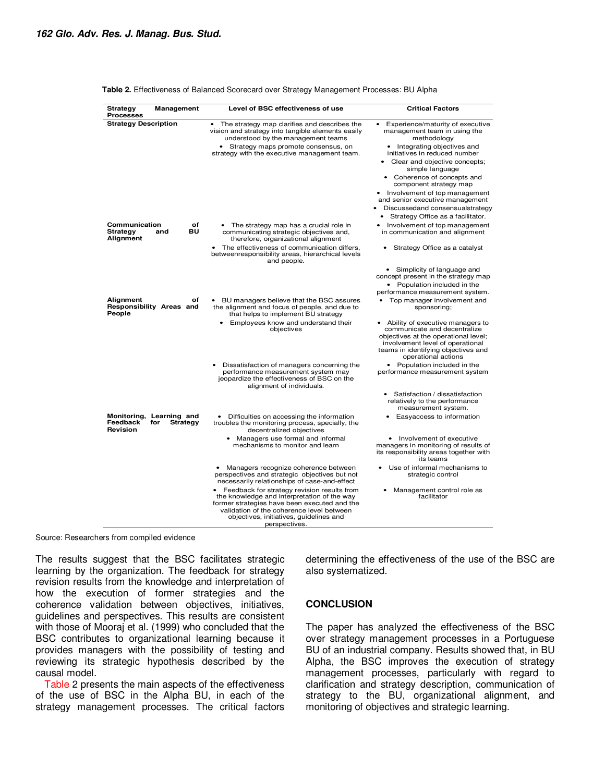| <b>Strategy</b><br>Management<br><b>Processes</b>                          | Level of BSC effectiveness of use                                                                                                                                                                                                                   | <b>Critical Factors</b>                                                                                                                                                                                                 |
|----------------------------------------------------------------------------|-----------------------------------------------------------------------------------------------------------------------------------------------------------------------------------------------------------------------------------------------------|-------------------------------------------------------------------------------------------------------------------------------------------------------------------------------------------------------------------------|
| <b>Strategy Description</b>                                                | The strategy map clarifies and describes the<br>$\bullet$<br>vision and strategy into tangible elements easily<br>understood by the management teams                                                                                                | Experience/maturity of executive<br>٠<br>management team in using the<br>methodology                                                                                                                                    |
|                                                                            | • Strategy maps promote consensus, on<br>strategy with the executive management team.                                                                                                                                                               | • Integrating objectives and<br>initiatives in reduced number                                                                                                                                                           |
|                                                                            |                                                                                                                                                                                                                                                     | Clear and objective concepts;<br>simple language                                                                                                                                                                        |
|                                                                            |                                                                                                                                                                                                                                                     | Coherence of concepts and<br>component strategy map                                                                                                                                                                     |
|                                                                            |                                                                                                                                                                                                                                                     | • Involvement of top management<br>and senior executive management                                                                                                                                                      |
|                                                                            |                                                                                                                                                                                                                                                     | Discussedand consensualstrategy                                                                                                                                                                                         |
|                                                                            |                                                                                                                                                                                                                                                     | Strategy Office as a facilitator.<br>٠                                                                                                                                                                                  |
| Communication<br>οf<br>BU<br><b>Strategy</b><br>and<br>Alignment           | • The strategy map has a crucial role in<br>communicating strategic objectives and,<br>therefore, organizational alignment                                                                                                                          | Involvement of top management<br>in communication and alignment                                                                                                                                                         |
|                                                                            | The effectiveness of communication differs,<br>betweenresponsibility areas, hierarchical levels<br>and people.                                                                                                                                      | Strategy Office as a catalyst                                                                                                                                                                                           |
|                                                                            |                                                                                                                                                                                                                                                     | • Simplicity of language and<br>concept present in the strategy map                                                                                                                                                     |
|                                                                            |                                                                                                                                                                                                                                                     | • Population included in the<br>performance measurement system.                                                                                                                                                         |
| Alignment<br>of<br>Responsibility Areas and<br>People                      | BU managers believe that the BSC assures<br>the alignment and focus of people, and due to<br>that helps to implement BU strategy                                                                                                                    | Top manager involvement and<br>sponsoring;                                                                                                                                                                              |
|                                                                            | Employees know and understand their<br>٠<br>objectives                                                                                                                                                                                              | Ability of executive managers to<br>$\bullet$<br>communicate and decentralize<br>objectives at the operational level;<br>involvement level of operational<br>teams in identifying objectives and<br>operational actions |
|                                                                            | Dissatisfaction of managers concerning the<br>performance measurement system may<br>jeopardize the effectiveness of BSC on the<br>alignment of individuals.                                                                                         | • Population included in the<br>performance measurement system                                                                                                                                                          |
|                                                                            |                                                                                                                                                                                                                                                     | Satisfaction / dissatisfaction<br>relatively to the performance<br>measurement system.                                                                                                                                  |
| Monitoring, Learning and<br>Feedback<br>for<br><b>Strategy</b><br>Revision | • Difficulties on accessing the information<br>troubles the monitoring process, specially, the<br>decentralized objectives                                                                                                                          | Easyaccess to information                                                                                                                                                                                               |
|                                                                            | • Managers use formal and informal<br>mechanisms to monitor and learn                                                                                                                                                                               | • Involvement of executive<br>managers in monitoring of results of<br>its responsibility areas together with<br>its teams                                                                                               |
|                                                                            | Managers recognize coherence between<br>$\bullet$<br>perspectives and strategic objectives but not<br>necessarily relationships of case-and-effect                                                                                                  | Use of informal mechanisms to<br>$\bullet$<br>strategic control                                                                                                                                                         |
|                                                                            | Feedback for strategy revision results from<br>the knowledge and interpretation of the way<br>former strategies have been executed and the<br>validation of the coherence level between<br>objectives, initiatives, quidelines and<br>perspectives. | Management control role as<br>facilitator                                                                                                                                                                               |

#### **Table 2.** Effectiveness of Balanced Scorecard over Strategy Management Processes: BU Alpha

Source: Researchers from compiled evidence

The results suggest that the BSC facilitates strategic learning by the organization. The feedback for strategy revision results from the knowledge and interpretation of how the execution of former strategies and the coherence validation between objectives, initiatives, guidelines and perspectives. This results are consistent with those of Mooraj et al. (1999) who concluded that the BSC contributes to organizational learning because it provides managers with the possibility of testing and reviewing its strategic hypothesis described by the causal model.

Table 2 presents the main aspects of the effectiveness of the use of BSC in the Alpha BU, in each of the strategy management processes. The critical factors determining the effectiveness of the use of the BSC are also systematized.

#### **CONCLUSION**

The paper has analyzed the effectiveness of the BSC over strategy management processes in a Portuguese BU of an industrial company. Results showed that, in BU Alpha, the BSC improves the execution of strategy management processes, particularly with regard to clarification and strategy description, communication of strategy to the BU, organizational alignment, and monitoring of objectives and strategic learning.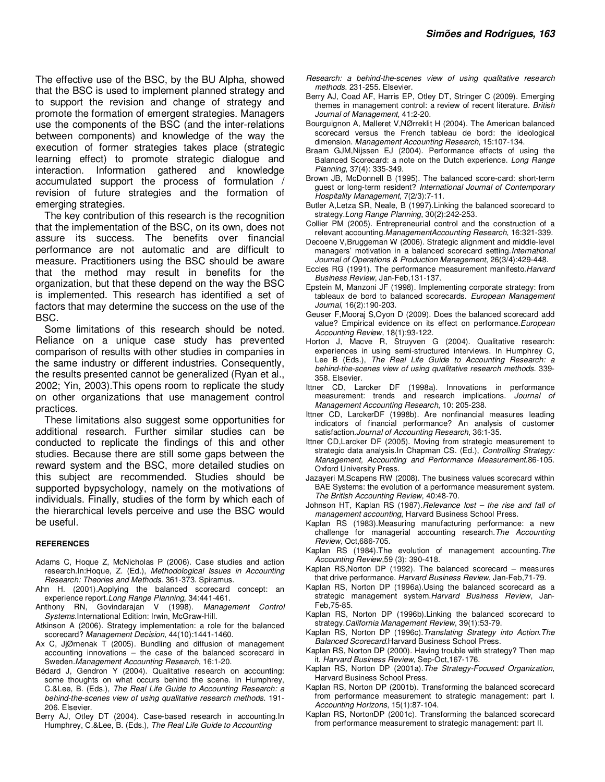The effective use of the BSC, by the BU Alpha, showed that the BSC is used to implement planned strategy and to support the revision and change of strategy and promote the formation of emergent strategies. Managers use the components of the BSC (and the inter-relations between components) and knowledge of the way the execution of former strategies takes place (strategic learning effect) to promote strategic dialogue and interaction. Information gathered and knowledge accumulated support the process of formulation / revision of future strategies and the formation of emerging strategies.

The key contribution of this research is the recognition that the implementation of the BSC, on its own, does not assure its success. The benefits over financial performance are not automatic and are difficult to measure. Practitioners using the BSC should be aware that the method may result in benefits for the organization, but that these depend on the way the BSC is implemented. This research has identified a set of factors that may determine the success on the use of the BSC.

Some limitations of this research should be noted. Reliance on a unique case study has prevented comparison of results with other studies in companies in the same industry or different industries. Consequently, the results presented cannot be generalized (Ryan et al., 2002; Yin, 2003).This opens room to replicate the study on other organizations that use management control practices.

These limitations also suggest some opportunities for additional research. Further similar studies can be conducted to replicate the findings of this and other studies. Because there are still some gaps between the reward system and the BSC, more detailed studies on this subject are recommended. Studies should be supported bypsychology, namely on the motivations of individuals. Finally, studies of the form by which each of the hierarchical levels perceive and use the BSC would be useful.

#### **REFERENCES**

- Adams C, Hoque Z, McNicholas P (2006). Case studies and action research.In:Hoque, Z. (Ed.), *Methodological Issues in Accounting Research: Theories and Methods*. 361-373. Spiramus.
- Ahn H. (2001).Applying the balanced scorecard concept: an experience report.*Long Range Planning,* 34:441-461.
- Anthony RN, Govindarajan V (1998). *Management Control Systems*.International Edition: Irwin, McGraw-Hill.
- Atkinson A (2006). Strategy implementation: a role for the balanced scorecard? *Management Decision*, 44(10):1441-1460.
- Ax C, JiØrnenak T (2005). Bundling and diffusion of management accounting innovations – the case of the balanced scorecard in Sweden.*Management Accounting Research*, 16:1-20.
- Bédard J, Gendron Y (2004). Qualitative research on accounting: some thoughts on what occurs behind the scene. In Humphrey, C.&Lee, B. (Eds.), *The Real Life Guide to Accounting Research: a behind-the-scenes view of using qualitative research methods*. 191- 206. Elsevier.
- Berry AJ, Otley DT (2004). Case-based research in accounting.In Humphrey, C.&Lee, B. (Eds.), *The Real Life Guide to Accounting*
- *Research: a behind-the-scenes view of using qualitative research methods*. 231-255. Elsevier.
- Berry AJ, Coad AF, Harris EP, Otley DT, Stringer C (2009). Emerging themes in management control: a review of recent literature. *British Journal of Management*, 41:2-20.
- Bourguignon A, Malleret V,NØrreklit H (2004). The American balanced scorecard versus the French tableau de bord: the ideological dimension. *Management Accounting Research*, 15:107-134.
- Braam GJM,Nijssen EJ (2004). Performance effects of using the Balanced Scorecard: a note on the Dutch experience. *Long Range Planning*, 37(4): 335-349.
- Brown JB, McDonnell B (1995). The balanced score-card: short-term guest or long-term resident? *International Journal of Contemporary Hospitality Management*, 7(2/3):7-11.
- Butler A,Letza SR, Neale, B (1997).Linking the balanced scorecard to strategy.*Long Range Planning*, 30(2):242-253.
- Collier PM (2005). Entrepreneurial control and the construction of a relevant accounting.*ManagementAccounting Research*, 16:321-339.
- Decoene V,Bruggeman W (2006). Strategic alignment and middle-level managers' motivation in a balanced scorecard setting.*International Journal of Operations & Production Management*, 26(3/4):429-448.
- Eccles RG (1991). The performance measurement manifesto.*Harvard Business Review*, Jan-Feb,131-137.
- Epstein M, Manzoni JF (1998). Implementing corporate strategy: from tableaux de bord to balanced scorecards. *European Management Journal*, 16(2):190-203.
- Geuser F,Mooraj S,Oyon D (2009). Does the balanced scorecard add value? Empirical evidence on its effect on performance.*European Accounting Review,* 18(1):93-122.
- Horton J, Macve R, Struyven G (2004). Qualitative research: experiences in using semi-structured interviews. In Humphrey C, Lee B (Eds.), *The Real Life Guide to Accounting Research: a behind-the-scenes view of using qualitative research methods*. 339- 358. Elsevier.
- Ittner CD, Larcker DF (1998a). Innovations in performance measurement: trends and research implications. *Journal of Management Accounting Research*, 10: 205-238.
- Ittner CD, LarckerDF (1998b). Are nonfinancial measures leading indicators of financial performance? An analysis of customer satisfaction.*Journal of Accounting Research*, 36:1-35.
- Ittner CD,Larcker DF (2005). Moving from strategic measurement to strategic data analysis.In Chapman CS. (Ed.), *Controlling Strategy: Management, Accounting and Performance Measurement*.86-105. Oxford University Press.
- Jazayeri M,Scapens RW (2008). The business values scorecard within BAE Systems: the evolution of a performance measurement system. *The British Accounting Review*, 40:48-70.
- Johnson HT, Kaplan RS (1987).*Relevance lost the rise and fall of management accounting*, Harvard Business School Press.
- Kaplan RS (1983).Measuring manufacturing performance: a new challenge for managerial accounting research.*The Accounting Review*, Oct,686-705.
- Kaplan RS (1984).The evolution of management accounting.*The Accounting Review*,59 (3): 390-418.
- Kaplan RS,Norton DP (1992). The balanced scorecard measures that drive performance. *Harvard Business Review*, Jan-Feb,71-79.
- Kaplan RS, Norton DP (1996a).Using the balanced scorecard as a strategic management system.*Harvard Business Review*, Jan-Feb,75-85.
- Kaplan RS, Norton DP (1996b).Linking the balanced scorecard to strategy.*California Management Review*, 39(1):53-79.
- Kaplan RS, Norton DP (1996c).*Translating Strategy into Action.The Balanced Scorecard*.Harvard Business School Press.
- Kaplan RS, Norton DP (2000). Having trouble with strategy? Then map it. *Harvard Business Review*, Sep-Oct,167-176.
- Kaplan RS, Norton DP (2001a).*The Strategy-Focused Organization*, Harvard Business School Press.
- Kaplan RS, Norton DP (2001b). Transforming the balanced scorecard from performance measurement to strategic management: part I. *Accounting Horizons*, 15(1):87-104.
- Kaplan RS, NortonDP (2001c). Transforming the balanced scorecard from performance measurement to strategic management: part II.